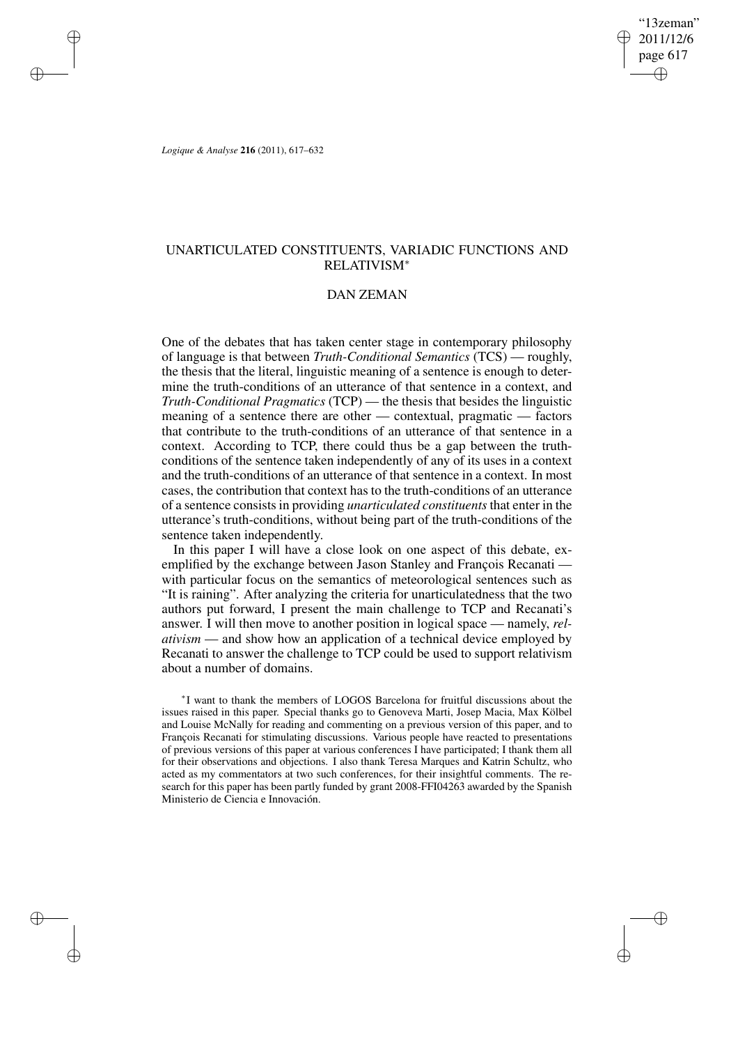"13zeman" 2011/12/6 page 617 ✐ ✐

✐

✐

*Logique & Analyse* **216** (2011), 617–632

✐

✐

✐

✐

# UNARTICULATED CONSTITUENTS, VARIADIC FUNCTIONS AND RELATIVISM<sup>∗</sup>

## DAN ZEMAN

One of the debates that has taken center stage in contemporary philosophy of language is that between *Truth-Conditional Semantics* (TCS) — roughly, the thesis that the literal, linguistic meaning of a sentence is enough to determine the truth-conditions of an utterance of that sentence in a context, and *Truth-Conditional Pragmatics* (TCP) — the thesis that besides the linguistic meaning of a sentence there are other — contextual, pragmatic — factors that contribute to the truth-conditions of an utterance of that sentence in a context. According to TCP, there could thus be a gap between the truthconditions of the sentence taken independently of any of its uses in a context and the truth-conditions of an utterance of that sentence in a context. In most cases, the contribution that context has to the truth-conditions of an utterance of a sentence consistsin providing *unarticulated constituents* that enter in the utterance's truth-conditions, without being part of the truth-conditions of the sentence taken independently.

In this paper I will have a close look on one aspect of this debate, exemplified by the exchange between Jason Stanley and François Recanati with particular focus on the semantics of meteorological sentences such as "It is raining". After analyzing the criteria for unarticulatedness that the two authors put forward, I present the main challenge to TCP and Recanati's answer. I will then move to another position in logical space — namely, *relativism* — and show how an application of a technical device employed by Recanati to answer the challenge to TCP could be used to support relativism about a number of domains.

∗ I want to thank the members of LOGOS Barcelona for fruitful discussions about the issues raised in this paper. Special thanks go to Genoveva Marti, Josep Macia, Max Kölbel and Louise McNally for reading and commenting on a previous version of this paper, and to François Recanati for stimulating discussions. Various people have reacted to presentations of previous versions of this paper at various conferences I have participated; I thank them all for their observations and objections. I also thank Teresa Marques and Katrin Schultz, who acted as my commentators at two such conferences, for their insightful comments. The research for this paper has been partly funded by grant 2008-FFI04263 awarded by the Spanish Ministerio de Ciencia e Innovación.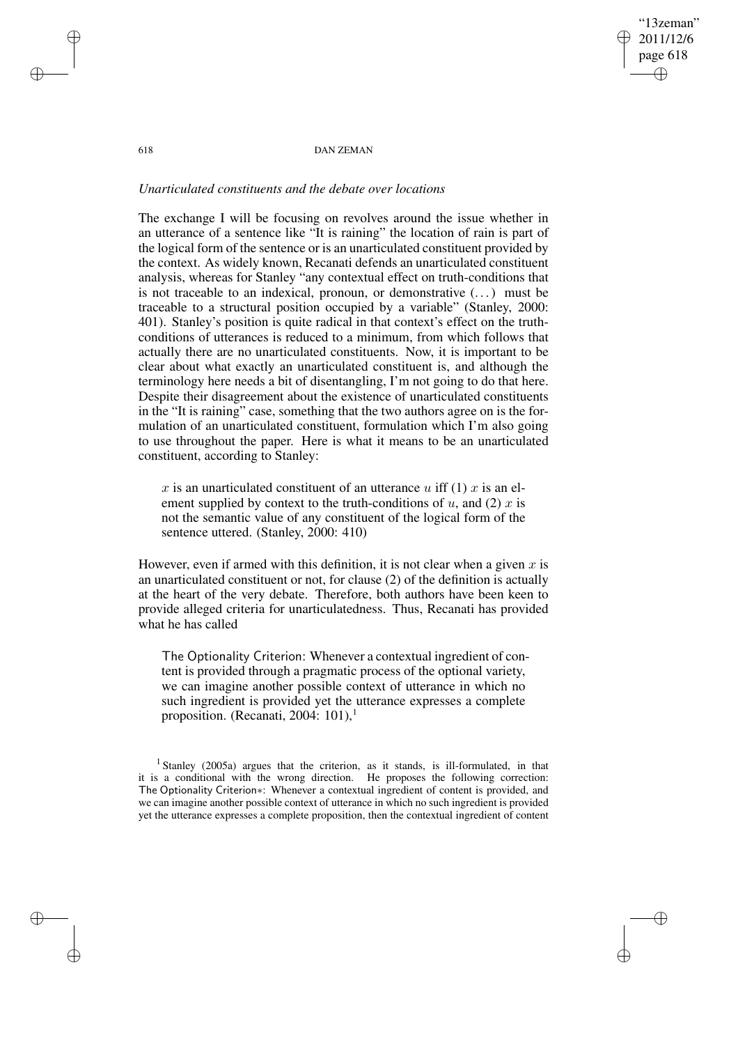✐

#### 618 DAN ZEMAN

## *Unarticulated constituents and the debate over locations*

The exchange I will be focusing on revolves around the issue whether in an utterance of a sentence like "It is raining" the location of rain is part of the logical form of the sentence or is an unarticulated constituent provided by the context. As widely known, Recanati defends an unarticulated constituent analysis, whereas for Stanley "any contextual effect on truth-conditions that is not traceable to an indexical, pronoun, or demonstrative  $(\dots)$  must be traceable to a structural position occupied by a variable" (Stanley, 2000: 401). Stanley's position is quite radical in that context's effect on the truthconditions of utterances is reduced to a minimum, from which follows that actually there are no unarticulated constituents. Now, it is important to be clear about what exactly an unarticulated constituent is, and although the terminology here needs a bit of disentangling, I'm not going to do that here. Despite their disagreement about the existence of unarticulated constituents in the "It is raining" case, something that the two authors agree on is the formulation of an unarticulated constituent, formulation which I'm also going to use throughout the paper. Here is what it means to be an unarticulated constituent, according to Stanley:

x is an unarticulated constituent of an utterance u iff (1) x is an element supplied by context to the truth-conditions of  $u$ , and (2)  $x$  is not the semantic value of any constituent of the logical form of the sentence uttered. (Stanley, 2000: 410)

However, even if armed with this definition, it is not clear when a given  $x$  is an unarticulated constituent or not, for clause (2) of the definition is actually at the heart of the very debate. Therefore, both authors have been keen to provide alleged criteria for unarticulatedness. Thus, Recanati has provided what he has called

The Optionality Criterion: Whenever a contextual ingredient of content is provided through a pragmatic process of the optional variety, we can imagine another possible context of utterance in which no such ingredient is provided yet the utterance expresses a complete proposition. (Recanati, 2004: 101),<sup>1</sup>

✐

✐

✐

<sup>&</sup>lt;sup>1</sup> Stanley (2005a) argues that the criterion, as it stands, is ill-formulated, in that it is a conditional with the wrong direction. He proposes the following correction: The Optionality Criterion∗: Whenever a contextual ingredient of content is provided, and we can imagine another possible context of utterance in which no such ingredient is provided yet the utterance expresses a complete proposition, then the contextual ingredient of content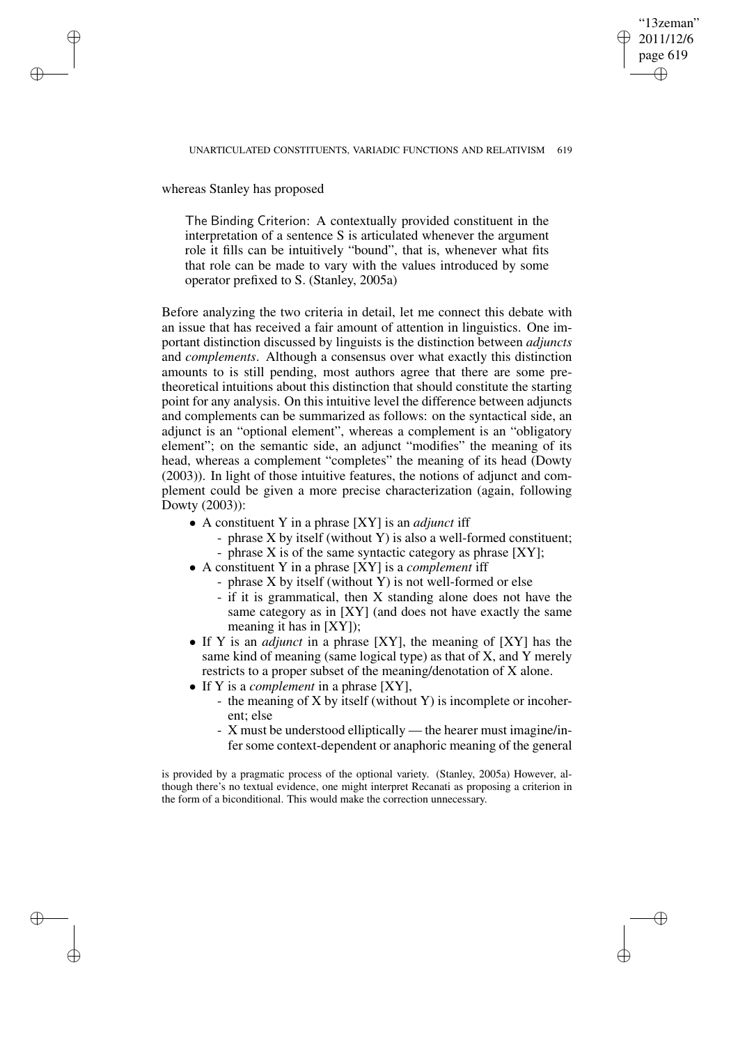## "13zeman" 2011/12/6 page 619 ✐ ✐

✐

✐

whereas Stanley has proposed

✐

✐

✐

✐

The Binding Criterion: A contextually provided constituent in the interpretation of a sentence S is articulated whenever the argument role it fills can be intuitively "bound", that is, whenever what fits that role can be made to vary with the values introduced by some operator prefixed to S. (Stanley, 2005a)

Before analyzing the two criteria in detail, let me connect this debate with an issue that has received a fair amount of attention in linguistics. One important distinction discussed by linguists is the distinction between *adjuncts* and *complements*. Although a consensus over what exactly this distinction amounts to is still pending, most authors agree that there are some pretheoretical intuitions about this distinction that should constitute the starting point for any analysis. On this intuitive level the difference between adjuncts and complements can be summarized as follows: on the syntactical side, an adjunct is an "optional element", whereas a complement is an "obligatory element"; on the semantic side, an adjunct "modifies" the meaning of its head, whereas a complement "completes" the meaning of its head (Dowty (2003)). In light of those intuitive features, the notions of adjunct and complement could be given a more precise characterization (again, following Dowty (2003)):

- A constituent Y in a phrase [XY] is an *adjunct* iff
	- phrase X by itself (without Y) is also a well-formed constituent;
	- phrase X is of the same syntactic category as phrase [XY];
- A constituent Y in a phrase [XY] is a *complement* iff
	- phrase X by itself (without Y) is not well-formed or else
	- if it is grammatical, then X standing alone does not have the same category as in [XY] (and does not have exactly the same meaning it has in [XY]);
- If Y is an *adjunct* in a phrase [XY], the meaning of [XY] has the same kind of meaning (same logical type) as that of X, and Y merely restricts to a proper subset of the meaning/denotation of X alone.
- If Y is a *complement* in a phrase [XY],
	- the meaning of X by itself (without Y) is incomplete or incoherent; else
	- X must be understood elliptically the hearer must imagine/infer some context-dependent or anaphoric meaning of the general

is provided by a pragmatic process of the optional variety. (Stanley, 2005a) However, although there's no textual evidence, one might interpret Recanati as proposing a criterion in the form of a biconditional. This would make the correction unnecessary.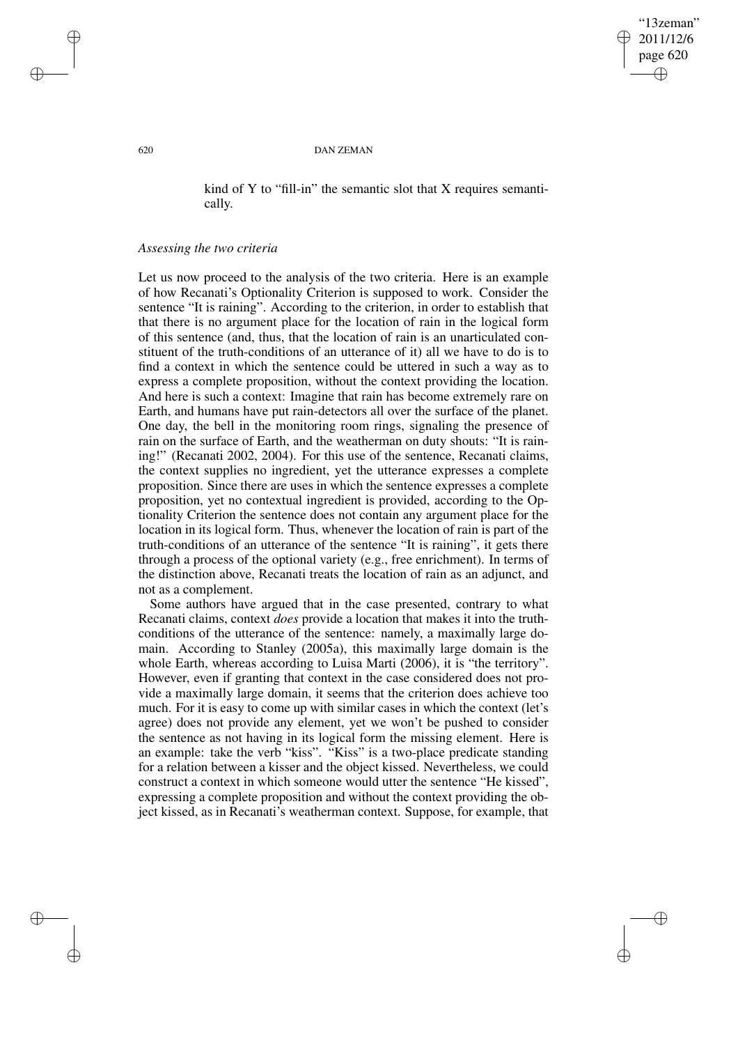✐

#### 620 DAN ZEMAN

kind of Y to "fill-in" the semantic slot that  $X$  requires semantically.

### *Assessing the two criteria*

Let us now proceed to the analysis of the two criteria. Here is an example of how Recanati's Optionality Criterion is supposed to work. Consider the sentence "It is raining". According to the criterion, in order to establish that that there is no argument place for the location of rain in the logical form of this sentence (and, thus, that the location of rain is an unarticulated constituent of the truth-conditions of an utterance of it) all we have to do is to find a context in which the sentence could be uttered in such a way as to express a complete proposition, without the context providing the location. And here is such a context: Imagine that rain has become extremely rare on Earth, and humans have put rain-detectors all over the surface of the planet. One day, the bell in the monitoring room rings, signaling the presence of rain on the surface of Earth, and the weatherman on duty shouts: "It is raining!" (Recanati 2002, 2004). For this use of the sentence, Recanati claims, the context supplies no ingredient, yet the utterance expresses a complete proposition. Since there are uses in which the sentence expresses a complete proposition, yet no contextual ingredient is provided, according to the Optionality Criterion the sentence does not contain any argument place for the location in its logical form. Thus, whenever the location of rain is part of the truth-conditions of an utterance of the sentence "It is raining", it gets there through a process of the optional variety (e.g., free enrichment). In terms of the distinction above, Recanati treats the location of rain as an adjunct, and not as a complement.

Some authors have argued that in the case presented, contrary to what Recanati claims, context *does* provide a location that makes it into the truthconditions of the utterance of the sentence: namely, a maximally large domain. According to Stanley (2005a), this maximally large domain is the whole Earth, whereas according to Luisa Marti (2006), it is "the territory". However, even if granting that context in the case considered does not provide a maximally large domain, it seems that the criterion does achieve too much. For it is easy to come up with similar cases in which the context (let's agree) does not provide any element, yet we won't be pushed to consider the sentence as not having in its logical form the missing element. Here is an example: take the verb "kiss". "Kiss" is a two-place predicate standing for a relation between a kisser and the object kissed. Nevertheless, we could construct a context in which someone would utter the sentence "He kissed", expressing a complete proposition and without the context providing the object kissed, as in Recanati's weatherman context. Suppose, for example, that

✐

✐

✐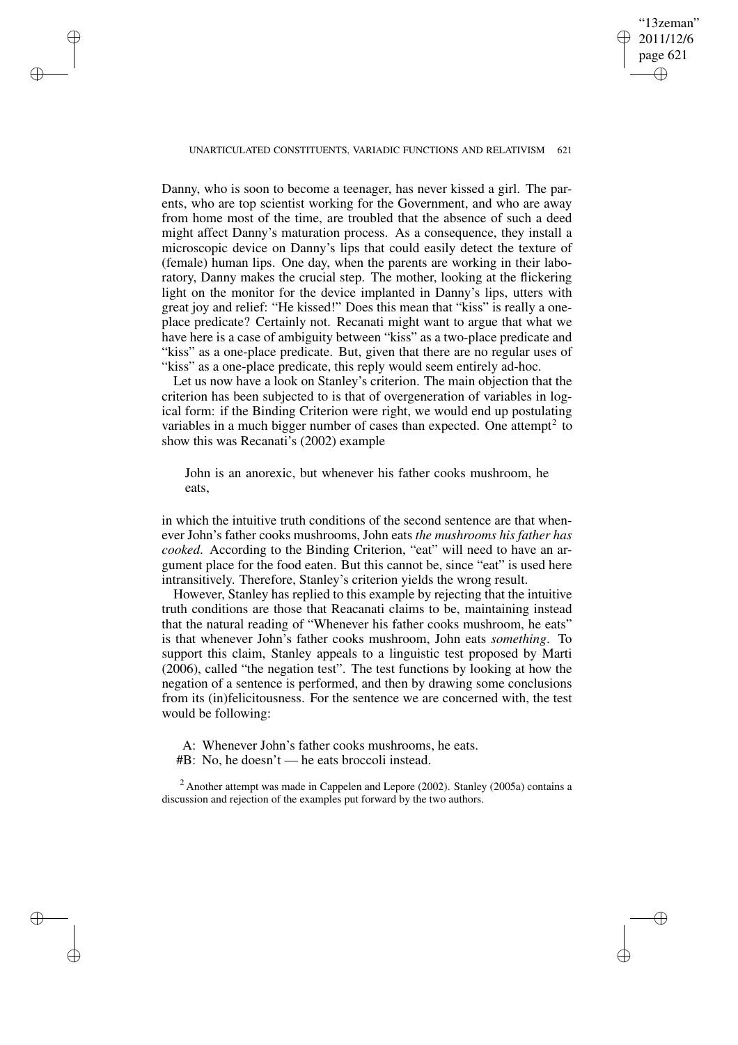"13zeman" 2011/12/6 page 621 ✐ ✐

✐

✐

### UNARTICULATED CONSTITUENTS, VARIADIC FUNCTIONS AND RELATIVISM 621

✐

✐

✐

✐

Danny, who is soon to become a teenager, has never kissed a girl. The parents, who are top scientist working for the Government, and who are away from home most of the time, are troubled that the absence of such a deed might affect Danny's maturation process. As a consequence, they install a microscopic device on Danny's lips that could easily detect the texture of (female) human lips. One day, when the parents are working in their laboratory, Danny makes the crucial step. The mother, looking at the flickering light on the monitor for the device implanted in Danny's lips, utters with great joy and relief: "He kissed!" Does this mean that "kiss" is really a oneplace predicate? Certainly not. Recanati might want to argue that what we have here is a case of ambiguity between "kiss" as a two-place predicate and "kiss" as a one-place predicate. But, given that there are no regular uses of "kiss" as a one-place predicate, this reply would seem entirely ad-hoc.

Let us now have a look on Stanley's criterion. The main objection that the criterion has been subjected to is that of overgeneration of variables in logical form: if the Binding Criterion were right, we would end up postulating variables in a much bigger number of cases than expected. One attempt<sup>2</sup> to show this was Recanati's (2002) example

John is an anorexic, but whenever his father cooks mushroom, he eats,

in which the intuitive truth conditions of the second sentence are that whenever John's father cooks mushrooms, John eats *the mushrooms his father has cooked*. According to the Binding Criterion, "eat" will need to have an argument place for the food eaten. But this cannot be, since "eat" is used here intransitively. Therefore, Stanley's criterion yields the wrong result.

However, Stanley has replied to this example by rejecting that the intuitive truth conditions are those that Reacanati claims to be, maintaining instead that the natural reading of "Whenever his father cooks mushroom, he eats" is that whenever John's father cooks mushroom, John eats *something*. To support this claim, Stanley appeals to a linguistic test proposed by Marti (2006), called "the negation test". The test functions by looking at how the negation of a sentence is performed, and then by drawing some conclusions from its (in)felicitousness. For the sentence we are concerned with, the test would be following:

A: Whenever John's father cooks mushrooms, he eats.

#B: No, he doesn't — he eats broccoli instead.

<sup>2</sup> Another attempt was made in Cappelen and Lepore (2002). Stanley (2005a) contains a discussion and rejection of the examples put forward by the two authors.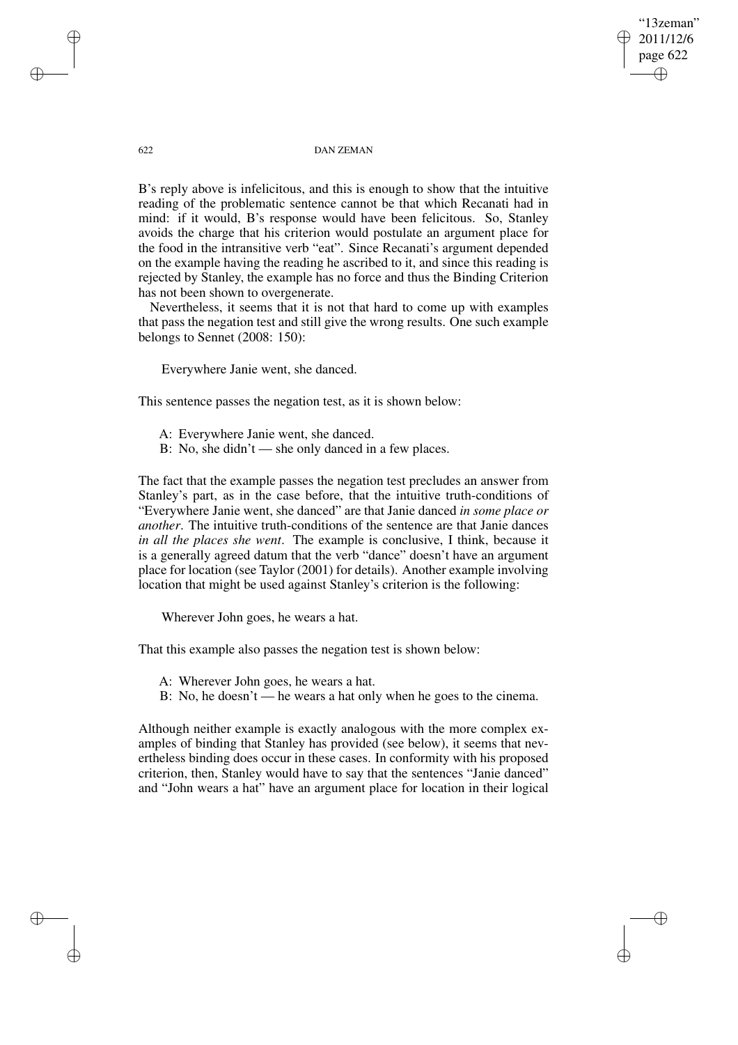"13zeman" 2011/12/6 page 622 ✐ ✐

✐

✐

#### 622 DAN ZEMAN

B's reply above is infelicitous, and this is enough to show that the intuitive reading of the problematic sentence cannot be that which Recanati had in mind: if it would, B's response would have been felicitous. So, Stanley avoids the charge that his criterion would postulate an argument place for the food in the intransitive verb "eat". Since Recanati's argument depended on the example having the reading he ascribed to it, and since this reading is rejected by Stanley, the example has no force and thus the Binding Criterion has not been shown to overgenerate.

Nevertheless, it seems that it is not that hard to come up with examples that pass the negation test and still give the wrong results. One such example belongs to Sennet (2008: 150):

Everywhere Janie went, she danced.

This sentence passes the negation test, as it is shown below:

- A: Everywhere Janie went, she danced.
- B: No, she didn't she only danced in a few places.

The fact that the example passes the negation test precludes an answer from Stanley's part, as in the case before, that the intuitive truth-conditions of "Everywhere Janie went, she danced" are that Janie danced *in some place or another*. The intuitive truth-conditions of the sentence are that Janie dances *in all the places she went*. The example is conclusive, I think, because it is a generally agreed datum that the verb "dance" doesn't have an argument place for location (see Taylor (2001) for details). Another example involving location that might be used against Stanley's criterion is the following:

Wherever John goes, he wears a hat.

That this example also passes the negation test is shown below:

- A: Wherever John goes, he wears a hat.
- B: No, he doesn't he wears a hat only when he goes to the cinema.

Although neither example is exactly analogous with the more complex examples of binding that Stanley has provided (see below), it seems that nevertheless binding does occur in these cases. In conformity with his proposed criterion, then, Stanley would have to say that the sentences "Janie danced" and "John wears a hat" have an argument place for location in their logical

✐

✐

✐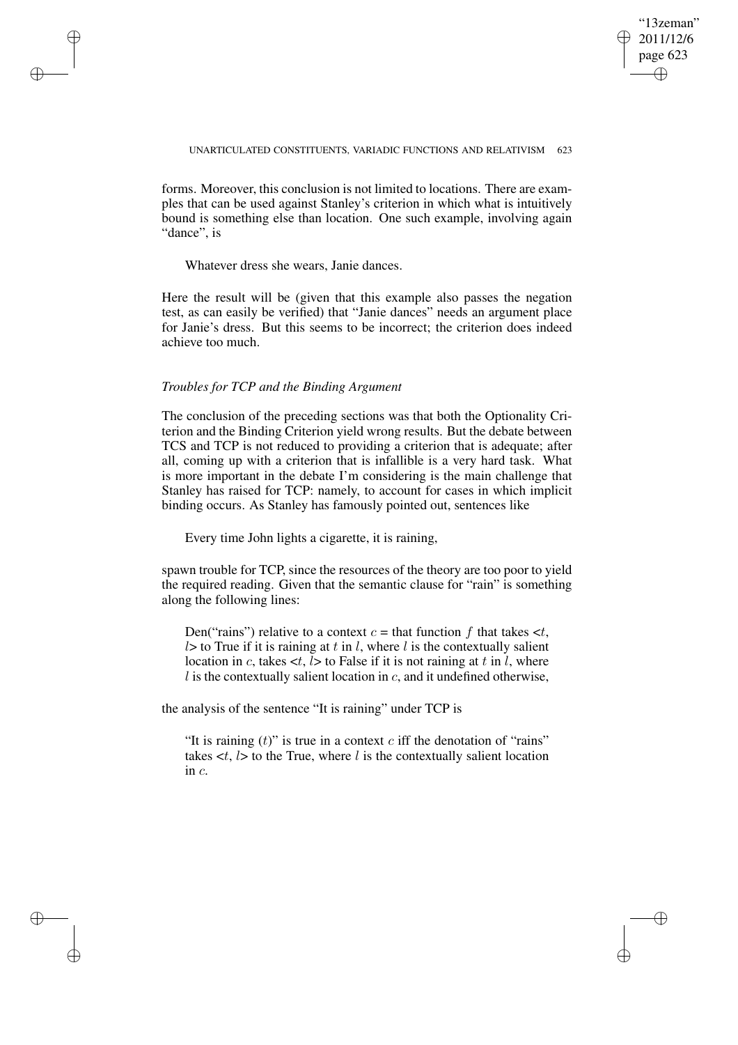✐

### UNARTICULATED CONSTITUENTS, VARIADIC FUNCTIONS AND RELATIVISM 623

forms. Moreover, this conclusion is not limited to locations. There are examples that can be used against Stanley's criterion in which what is intuitively bound is something else than location. One such example, involving again "dance", is

Whatever dress she wears, Janie dances.

✐

✐

✐

✐

Here the result will be (given that this example also passes the negation test, as can easily be verified) that "Janie dances" needs an argument place for Janie's dress. But this seems to be incorrect; the criterion does indeed achieve too much.

### *Troubles for TCP and the Binding Argument*

The conclusion of the preceding sections was that both the Optionality Criterion and the Binding Criterion yield wrong results. But the debate between TCS and TCP is not reduced to providing a criterion that is adequate; after all, coming up with a criterion that is infallible is a very hard task. What is more important in the debate I'm considering is the main challenge that Stanley has raised for TCP: namely, to account for cases in which implicit binding occurs. As Stanley has famously pointed out, sentences like

Every time John lights a cigarette, it is raining,

spawn trouble for TCP, since the resources of the theory are too poor to yield the required reading. Given that the semantic clause for "rain" is something along the following lines:

Den("rains") relative to a context  $c =$  that function f that takes  $\lt t$ ,  $l$  to True if it is raining at t in l, where l is the contextually salient location in c, takes  $\lt t$ , l> to False if it is not raining at t in l, where  $l$  is the contextually salient location in  $c$ , and it undefined otherwise,

the analysis of the sentence "It is raining" under TCP is

"It is raining  $(t)$ " is true in a context c iff the denotation of "rains" takes  $\lt t$ ,  $l$  to the True, where l is the contextually salient location in c.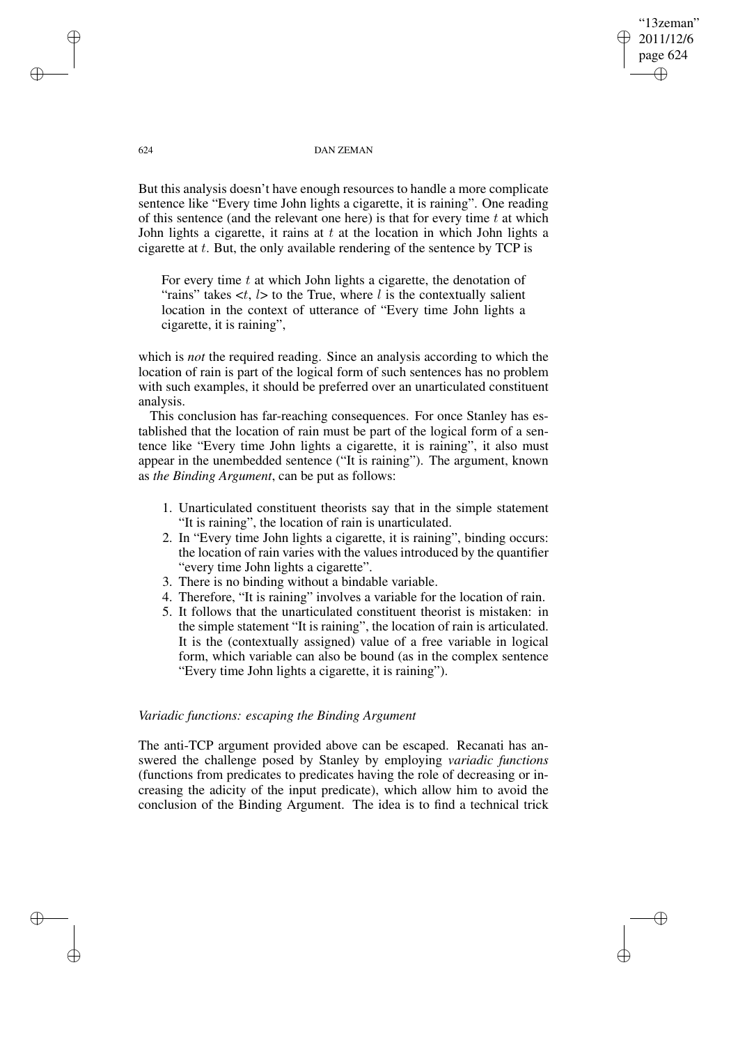### "13zeman" 2011/12/6 page 624 ✐ ✐

✐

✐

#### 624 DAN ZEMAN

But this analysis doesn't have enough resources to handle a more complicate sentence like "Every time John lights a cigarette, it is raining". One reading of this sentence (and the relevant one here) is that for every time  $t$  at which John lights a cigarette, it rains at  $t$  at the location in which John lights a cigarette at  $t$ . But, the only available rendering of the sentence by TCP is

For every time  $t$  at which John lights a cigarette, the denotation of "rains" takes  $\lt t$ ,  $l$  to the True, where l is the contextually salient location in the context of utterance of "Every time John lights a cigarette, it is raining",

which is *not* the required reading. Since an analysis according to which the location of rain is part of the logical form of such sentences has no problem with such examples, it should be preferred over an unarticulated constituent analysis.

This conclusion has far-reaching consequences. For once Stanley has established that the location of rain must be part of the logical form of a sentence like "Every time John lights a cigarette, it is raining", it also must appear in the unembedded sentence ("It is raining"). The argument, known as *the Binding Argument*, can be put as follows:

- 1. Unarticulated constituent theorists say that in the simple statement "It is raining", the location of rain is unarticulated.
- 2. In "Every time John lights a cigarette, it is raining", binding occurs: the location of rain varies with the values introduced by the quantifier "every time John lights a cigarette".
- 3. There is no binding without a bindable variable.
- 4. Therefore, "It is raining" involves a variable for the location of rain.
- 5. It follows that the unarticulated constituent theorist is mistaken: in the simple statement "It is raining", the location of rain is articulated. It is the (contextually assigned) value of a free variable in logical form, which variable can also be bound (as in the complex sentence "Every time John lights a cigarette, it is raining").

## *Variadic functions: escaping the Binding Argument*

The anti-TCP argument provided above can be escaped. Recanati has answered the challenge posed by Stanley by employing *variadic functions* (functions from predicates to predicates having the role of decreasing or increasing the adicity of the input predicate), which allow him to avoid the conclusion of the Binding Argument. The idea is to find a technical trick

✐

✐

✐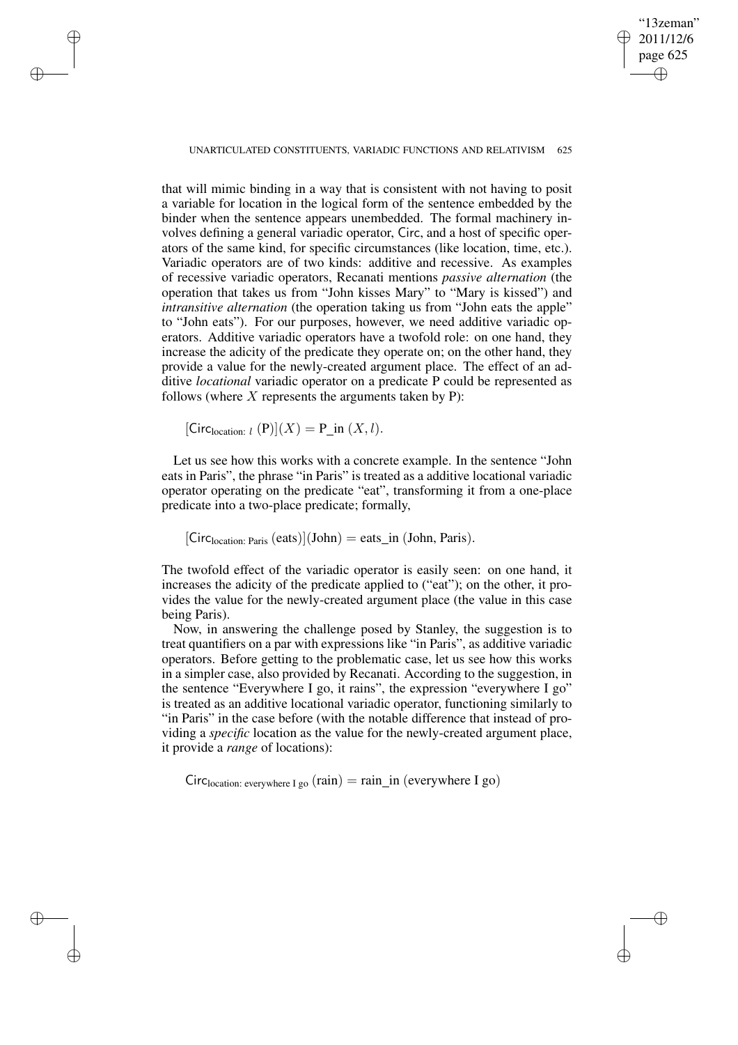"13zeman" 2011/12/6 page 625 ✐ ✐

✐

✐

UNARTICULATED CONSTITUENTS, VARIADIC FUNCTIONS AND RELATIVISM 625

that will mimic binding in a way that is consistent with not having to posit a variable for location in the logical form of the sentence embedded by the binder when the sentence appears unembedded. The formal machinery involves defining a general variadic operator, Circ, and a host of specific operators of the same kind, for specific circumstances (like location, time, etc.). Variadic operators are of two kinds: additive and recessive. As examples of recessive variadic operators, Recanati mentions *passive alternation* (the operation that takes us from "John kisses Mary" to "Mary is kissed") and *intransitive alternation* (the operation taking us from "John eats the apple" to "John eats"). For our purposes, however, we need additive variadic operators. Additive variadic operators have a twofold role: on one hand, they increase the adicity of the predicate they operate on; on the other hand, they provide a value for the newly-created argument place. The effect of an additive *locational* variadic operator on a predicate P could be represented as follows (where  $X$  represents the arguments taken by P):

 $[\text{Circ}_{location: l} (P)](X) = P_{in} (X, l).$ 

✐

✐

✐

✐

Let us see how this works with a concrete example. In the sentence "John eats in Paris", the phrase "in Paris" is treated as a additive locational variadic operator operating on the predicate "eat", transforming it from a one-place predicate into a two-place predicate; formally,

 $[Circ<sub>location: Paris</sub> (eats)](John) = eats_in (John, Paris).$ 

The twofold effect of the variadic operator is easily seen: on one hand, it increases the adicity of the predicate applied to ("eat"); on the other, it provides the value for the newly-created argument place (the value in this case being Paris).

Now, in answering the challenge posed by Stanley, the suggestion is to treat quantifiers on a par with expressions like "in Paris", as additive variadic operators. Before getting to the problematic case, let us see how this works in a simpler case, also provided by Recanati. According to the suggestion, in the sentence "Everywhere I go, it rains", the expression "everywhere I go" is treated as an additive locational variadic operator, functioning similarly to "in Paris" in the case before (with the notable difference that instead of providing a *specific* location as the value for the newly-created argument place, it provide a *range* of locations):

 $Circ<sub>location</sub>: everywhere I go (rain) = rain_in (everywhere I go)$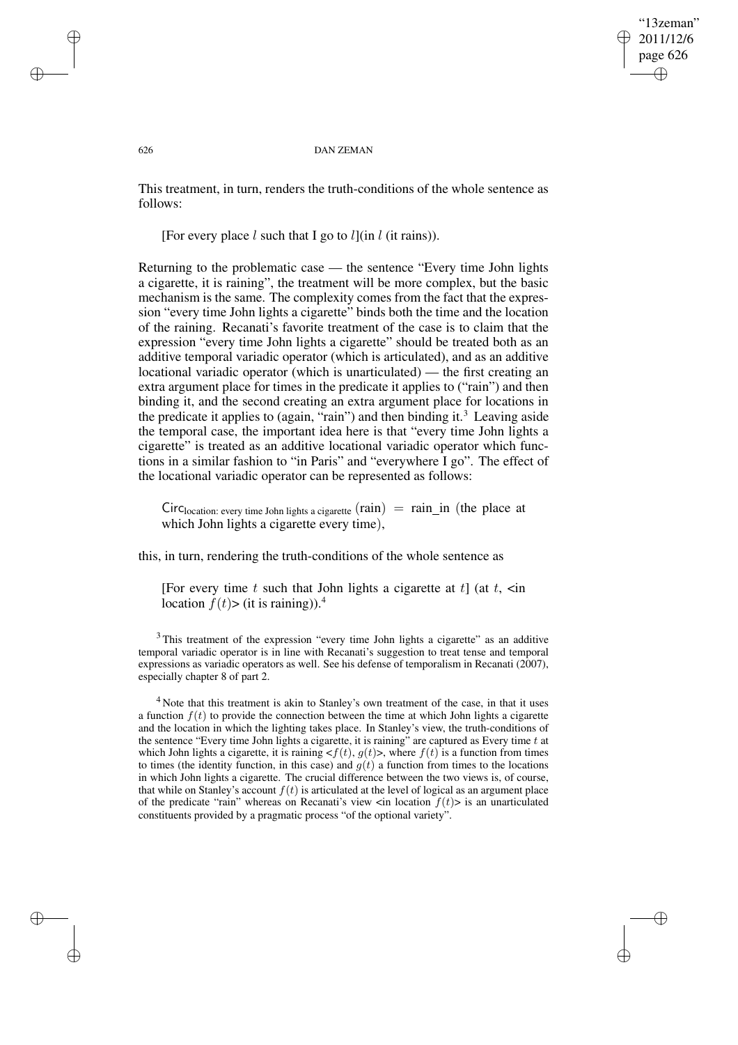✐

#### 626 DAN ZEMAN

This treatment, in turn, renders the truth-conditions of the whole sentence as follows:

[For every place  $l$  such that I go to  $l$ ](in  $l$  (it rains)).

Returning to the problematic case — the sentence "Every time John lights a cigarette, it is raining", the treatment will be more complex, but the basic mechanism is the same. The complexity comes from the fact that the expression "every time John lights a cigarette" binds both the time and the location of the raining. Recanati's favorite treatment of the case is to claim that the expression "every time John lights a cigarette" should be treated both as an additive temporal variadic operator (which is articulated), and as an additive locational variadic operator (which is unarticulated) — the first creating an extra argument place for times in the predicate it applies to ("rain") and then binding it, and the second creating an extra argument place for locations in the predicate it applies to (again, "rain") and then binding it.<sup>3</sup> Leaving aside the temporal case, the important idea here is that "every time John lights a cigarette" is treated as an additive locational variadic operator which functions in a similar fashion to "in Paris" and "everywhere I go". The effect of the locational variadic operator can be represented as follows:

 $Circ<sub>location</sub>: every time John lights a cigarette (rain) = rain_in (the place at)$ which John lights a cigarette every time),

this, in turn, rendering the truth-conditions of the whole sentence as

[For every time t such that John lights a cigarette at  $t$ ] (at  $t$ ,  $\leq$  in location  $f(t)$ > (it is raining)).<sup>4</sup>

<sup>3</sup> This treatment of the expression "every time John lights a cigarette" as an additive temporal variadic operator is in line with Recanati's suggestion to treat tense and temporal expressions as variadic operators as well. See his defense of temporalism in Recanati (2007), especially chapter 8 of part 2.

<sup>4</sup> Note that this treatment is akin to Stanley's own treatment of the case, in that it uses a function  $f(t)$  to provide the connection between the time at which John lights a cigarette and the location in which the lighting takes place. In Stanley's view, the truth-conditions of the sentence "Every time John lights a cigarette, it is raining" are captured as Every time  $t$  at which John lights a cigarette, it is raining  $\langle f(t), g(t) \rangle$ , where  $f(t)$  is a function from times to times (the identity function, in this case) and  $g(t)$  a function from times to the locations in which John lights a cigarette. The crucial difference between the two views is, of course, that while on Stanley's account  $f(t)$  is articulated at the level of logical as an argument place of the predicate "rain" whereas on Recanati's view  $\langle$  in location  $f(t)$  is an unarticulated constituents provided by a pragmatic process "of the optional variety".

✐

✐

✐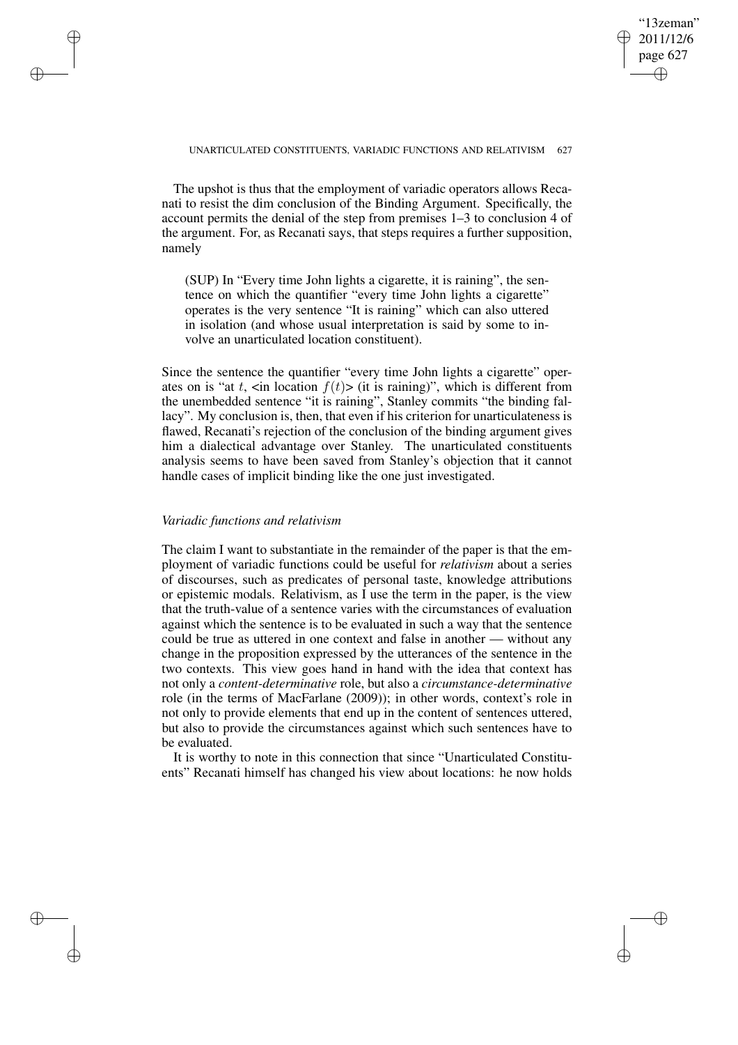✐

### UNARTICULATED CONSTITUENTS, VARIADIC FUNCTIONS AND RELATIVISM 627

The upshot is thus that the employment of variadic operators allows Recanati to resist the dim conclusion of the Binding Argument. Specifically, the account permits the denial of the step from premises 1–3 to conclusion 4 of the argument. For, as Recanati says, that steps requires a further supposition, namely

(SUP) In "Every time John lights a cigarette, it is raining", the sentence on which the quantifier "every time John lights a cigarette" operates is the very sentence "It is raining" which can also uttered in isolation (and whose usual interpretation is said by some to involve an unarticulated location constituent).

Since the sentence the quantifier "every time John lights a cigarette" operates on is "at t,  $\langle$  in location  $f(t)$   $>$  (it is raining)", which is different from the unembedded sentence "it is raining", Stanley commits "the binding fallacy". My conclusion is, then, that even if his criterion for unarticulateness is flawed, Recanati's rejection of the conclusion of the binding argument gives him a dialectical advantage over Stanley. The unarticulated constituents analysis seems to have been saved from Stanley's objection that it cannot handle cases of implicit binding like the one just investigated.

### *Variadic functions and relativism*

✐

✐

✐

✐

The claim I want to substantiate in the remainder of the paper is that the employment of variadic functions could be useful for *relativism* about a series of discourses, such as predicates of personal taste, knowledge attributions or epistemic modals. Relativism, as I use the term in the paper, is the view that the truth-value of a sentence varies with the circumstances of evaluation against which the sentence is to be evaluated in such a way that the sentence could be true as uttered in one context and false in another — without any change in the proposition expressed by the utterances of the sentence in the two contexts. This view goes hand in hand with the idea that context has not only a *content-determinative* role, but also a *circumstance-determinative* role (in the terms of MacFarlane (2009)); in other words, context's role in not only to provide elements that end up in the content of sentences uttered, but also to provide the circumstances against which such sentences have to be evaluated.

It is worthy to note in this connection that since "Unarticulated Constituents" Recanati himself has changed his view about locations: he now holds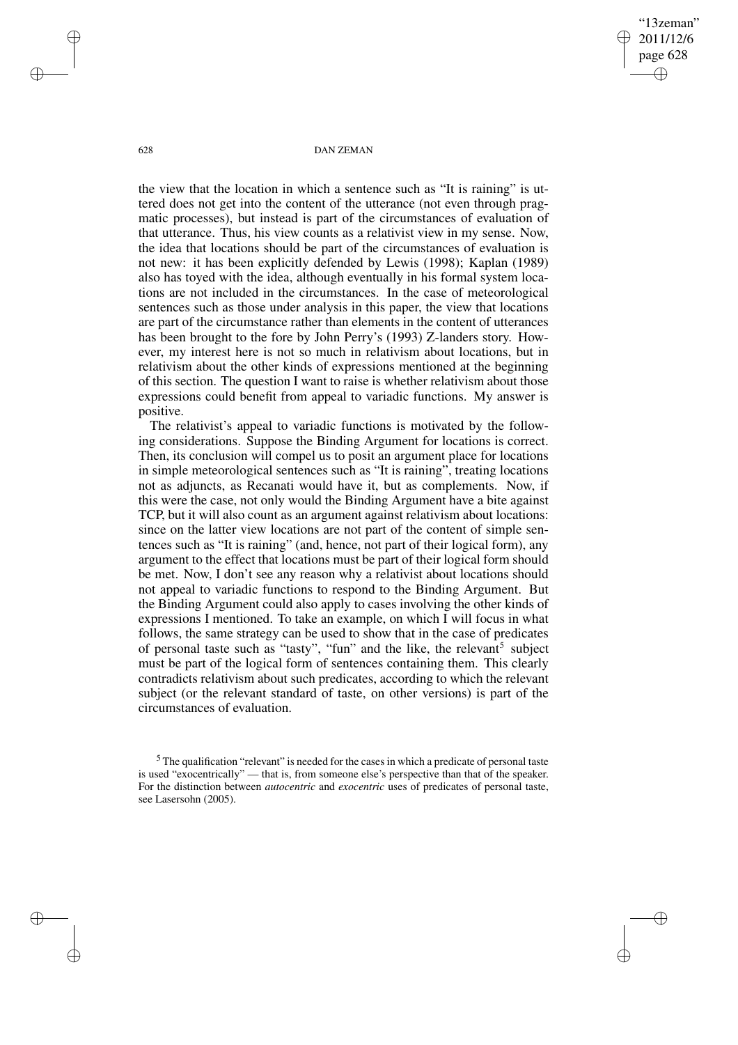"13zeman" 2011/12/6 page 628 ✐ ✐

✐

✐

#### 628 DAN ZEMAN

the view that the location in which a sentence such as "It is raining" is uttered does not get into the content of the utterance (not even through pragmatic processes), but instead is part of the circumstances of evaluation of that utterance. Thus, his view counts as a relativist view in my sense. Now, the idea that locations should be part of the circumstances of evaluation is not new: it has been explicitly defended by Lewis (1998); Kaplan (1989) also has toyed with the idea, although eventually in his formal system locations are not included in the circumstances. In the case of meteorological sentences such as those under analysis in this paper, the view that locations are part of the circumstance rather than elements in the content of utterances has been brought to the fore by John Perry's (1993) Z-landers story. However, my interest here is not so much in relativism about locations, but in relativism about the other kinds of expressions mentioned at the beginning of this section. The question I want to raise is whether relativism about those expressions could benefit from appeal to variadic functions. My answer is positive.

The relativist's appeal to variadic functions is motivated by the following considerations. Suppose the Binding Argument for locations is correct. Then, its conclusion will compel us to posit an argument place for locations in simple meteorological sentences such as "It is raining", treating locations not as adjuncts, as Recanati would have it, but as complements. Now, if this were the case, not only would the Binding Argument have a bite against TCP, but it will also count as an argument against relativism about locations: since on the latter view locations are not part of the content of simple sentences such as "It is raining" (and, hence, not part of their logical form), any argument to the effect that locations must be part of their logical form should be met. Now, I don't see any reason why a relativist about locations should not appeal to variadic functions to respond to the Binding Argument. But the Binding Argument could also apply to cases involving the other kinds of expressions I mentioned. To take an example, on which I will focus in what follows, the same strategy can be used to show that in the case of predicates of personal taste such as "tasty", "fun" and the like, the relevant<sup>5</sup> subject must be part of the logical form of sentences containing them. This clearly contradicts relativism about such predicates, according to which the relevant subject (or the relevant standard of taste, on other versions) is part of the circumstances of evaluation.

✐

✐

✐

<sup>&</sup>lt;sup>5</sup> The qualification "relevant" is needed for the cases in which a predicate of personal taste is used "exocentrically" — that is, from someone else's perspective than that of the speaker. For the distinction between *autocentric* and *exocentric* uses of predicates of personal taste, see Lasersohn (2005).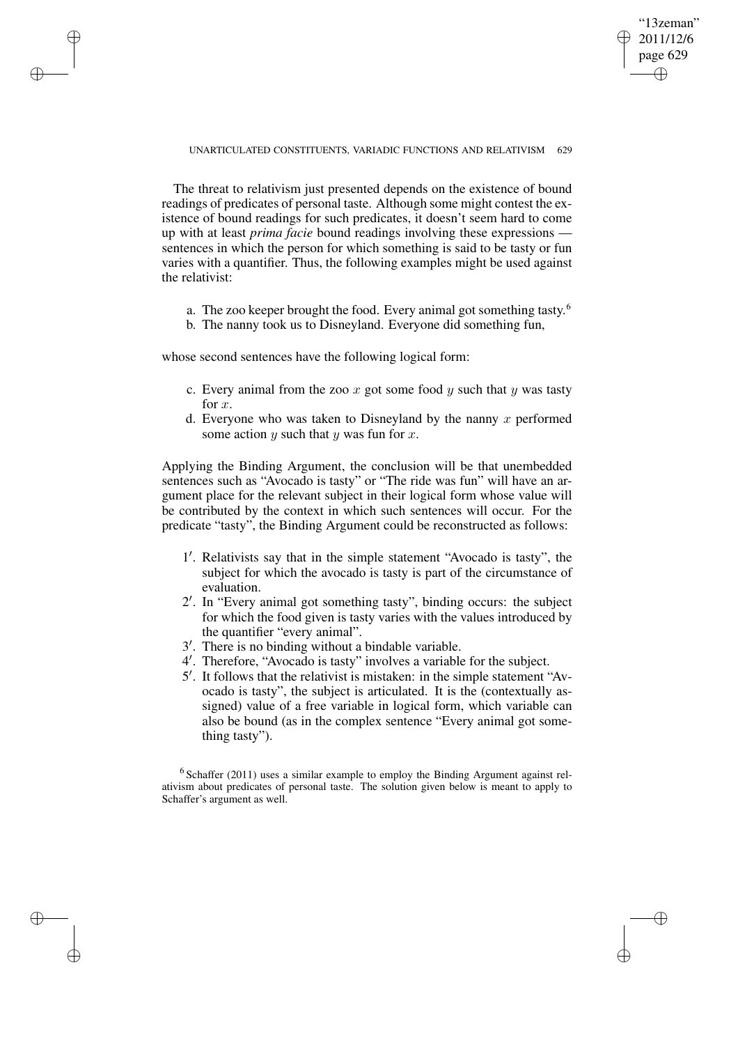"13zeman" 2011/12/6 page 629 ✐ ✐

✐

✐

### UNARTICULATED CONSTITUENTS, VARIADIC FUNCTIONS AND RELATIVISM 629

The threat to relativism just presented depends on the existence of bound readings of predicates of personal taste. Although some might contest the existence of bound readings for such predicates, it doesn't seem hard to come up with at least *prima facie* bound readings involving these expressions sentences in which the person for which something is said to be tasty or fun varies with a quantifier. Thus, the following examples might be used against the relativist:

- a. The zoo keeper brought the food. Every animal got something tasty.<sup>6</sup>
- b. The nanny took us to Disneyland. Everyone did something fun,

whose second sentences have the following logical form:

✐

✐

✐

✐

- c. Every animal from the zoo x got some food y such that y was tasty for  $x$ .
- d. Everyone who was taken to Disneyland by the nanny  $x$  performed some action  $y$  such that  $y$  was fun for  $x$ .

Applying the Binding Argument, the conclusion will be that unembedded sentences such as "Avocado is tasty" or "The ride was fun" will have an argument place for the relevant subject in their logical form whose value will be contributed by the context in which such sentences will occur. For the predicate "tasty", the Binding Argument could be reconstructed as follows:

- 1'. Relativists say that in the simple statement "Avocado is tasty", the subject for which the avocado is tasty is part of the circumstance of evaluation.
- 2 0 . In "Every animal got something tasty", binding occurs: the subject for which the food given is tasty varies with the values introduced by the quantifier "every animal".
- <sup>3'</sup>. There is no binding without a bindable variable.
- 4 0 . Therefore, "Avocado is tasty" involves a variable for the subject.
- 5 0 . It follows that the relativist is mistaken: in the simple statement "Avocado is tasty", the subject is articulated. It is the (contextually assigned) value of a free variable in logical form, which variable can also be bound (as in the complex sentence "Every animal got something tasty").

 $6$  Schaffer (2011) uses a similar example to employ the Binding Argument against relativism about predicates of personal taste. The solution given below is meant to apply to Schaffer's argument as well.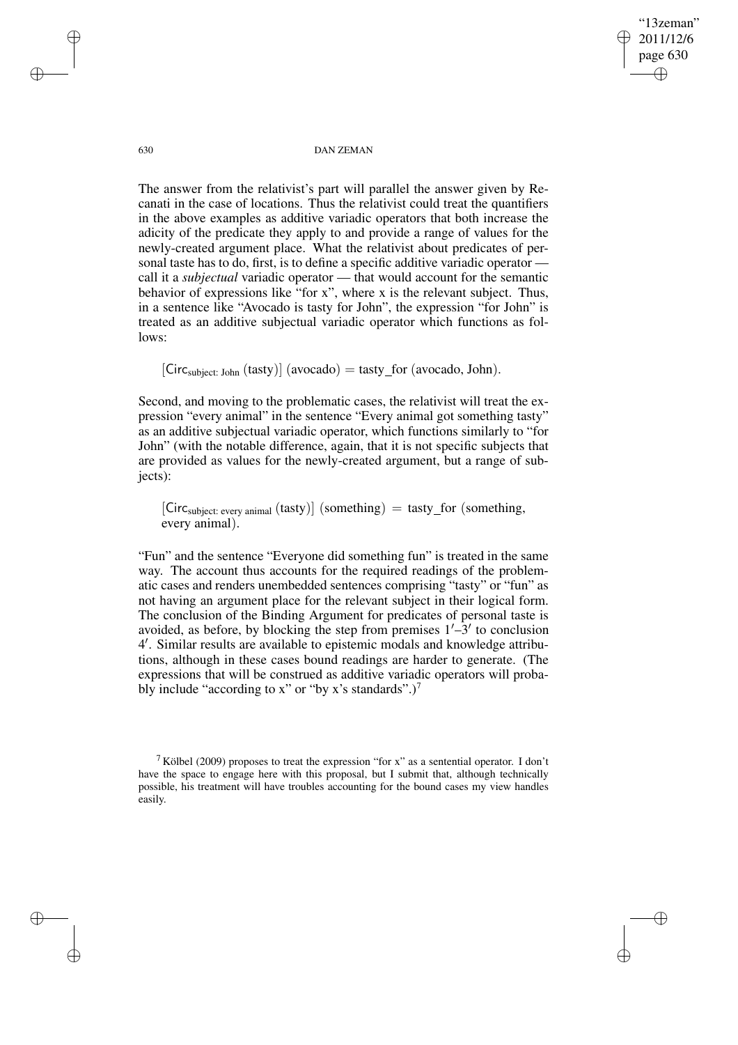"13zeman" 2011/12/6 page 630 ✐ ✐

✐

✐

630 DAN ZEMAN

The answer from the relativist's part will parallel the answer given by Recanati in the case of locations. Thus the relativist could treat the quantifiers in the above examples as additive variadic operators that both increase the adicity of the predicate they apply to and provide a range of values for the newly-created argument place. What the relativist about predicates of personal taste has to do, first, is to define a specific additive variadic operator call it a *subjectual* variadic operator — that would account for the semantic behavior of expressions like "for x", where x is the relevant subject. Thus, in a sentence like "Avocado is tasty for John", the expression "for John" is treated as an additive subjectual variadic operator which functions as follows:

 $[Circ_{subject: John} (tasty)] (avocado) = tasty_for (avocado, John).$ 

Second, and moving to the problematic cases, the relativist will treat the expression "every animal" in the sentence "Every animal got something tasty" as an additive subjectual variadic operator, which functions similarly to "for John" (with the notable difference, again, that it is not specific subjects that are provided as values for the newly-created argument, but a range of subjects):

 $[Circ<sub>subject: every animal</sub> (task)] (something) = task_for (something),$ every animal).

"Fun" and the sentence "Everyone did something fun" is treated in the same way. The account thus accounts for the required readings of the problematic cases and renders unembedded sentences comprising "tasty" or "fun" as not having an argument place for the relevant subject in their logical form. The conclusion of the Binding Argument for predicates of personal taste is avoided, as before, by blocking the step from premises  $1'$ –3' to conclusion 4 0 . Similar results are available to epistemic modals and knowledge attributions, although in these cases bound readings are harder to generate. (The expressions that will be construed as additive variadic operators will probably include "according to x" or "by x's standards".)<sup>7</sup>

✐

✐

✐

<sup>&</sup>lt;sup>7</sup> Kölbel (2009) proposes to treat the expression "for x" as a sentential operator. I don't have the space to engage here with this proposal, but I submit that, although technically possible, his treatment will have troubles accounting for the bound cases my view handles easily.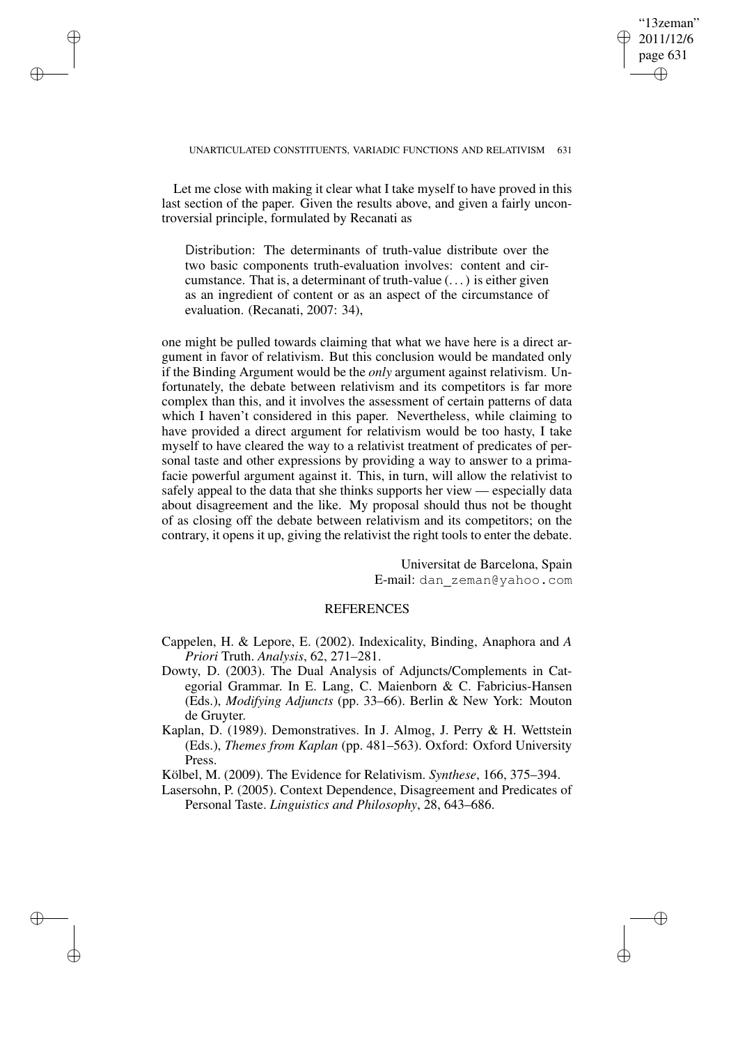#### UNARTICULATED CONSTITUENTS, VARIADIC FUNCTIONS AND RELATIVISM 631

Let me close with making it clear what I take myself to have proved in this last section of the paper. Given the results above, and given a fairly uncontroversial principle, formulated by Recanati as

✐

✐

✐

✐

Distribution: The determinants of truth-value distribute over the two basic components truth-evaluation involves: content and circumstance. That is, a determinant of truth-value (. . .) is either given as an ingredient of content or as an aspect of the circumstance of evaluation. (Recanati, 2007: 34),

one might be pulled towards claiming that what we have here is a direct argument in favor of relativism. But this conclusion would be mandated only if the Binding Argument would be the *only* argument against relativism. Unfortunately, the debate between relativism and its competitors is far more complex than this, and it involves the assessment of certain patterns of data which I haven't considered in this paper. Nevertheless, while claiming to have provided a direct argument for relativism would be too hasty, I take myself to have cleared the way to a relativist treatment of predicates of personal taste and other expressions by providing a way to answer to a primafacie powerful argument against it. This, in turn, will allow the relativist to safely appeal to the data that she thinks supports her view — especially data about disagreement and the like. My proposal should thus not be thought of as closing off the debate between relativism and its competitors; on the contrary, it opens it up, giving the relativist the right tools to enter the debate.

> Universitat de Barcelona, Spain E-mail: dan zeman@yahoo.com

"13zeman" 2011/12/6 page 631

✐

✐

✐

✐

## **REFERENCES**

- Cappelen, H. & Lepore, E. (2002). Indexicality, Binding, Anaphora and *A Priori* Truth. *Analysis*, 62, 271–281.
- Dowty, D. (2003). The Dual Analysis of Adjuncts/Complements in Categorial Grammar. In E. Lang, C. Maienborn & C. Fabricius-Hansen (Eds.), *Modifying Adjuncts* (pp. 33–66). Berlin & New York: Mouton de Gruyter.
- Kaplan, D. (1989). Demonstratives. In J. Almog, J. Perry & H. Wettstein (Eds.), *Themes from Kaplan* (pp. 481–563). Oxford: Oxford University Press.

Kölbel, M. (2009). The Evidence for Relativism. *Synthese*, 166, 375–394.

Lasersohn, P. (2005). Context Dependence, Disagreement and Predicates of Personal Taste. *Linguistics and Philosophy*, 28, 643–686.